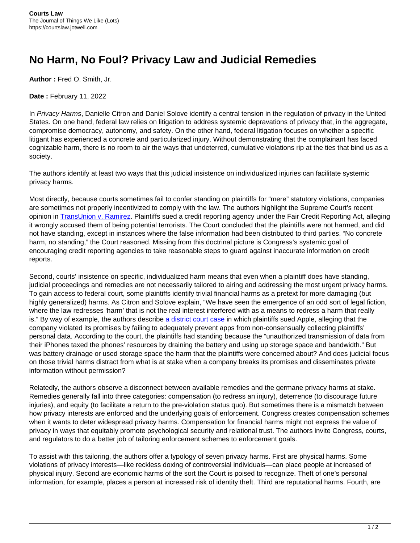## **No Harm, No Foul? Privacy Law and Judicial Remedies**

**Author :** Fred O. Smith, Jr.

**Date :** February 11, 2022

In Privacy Harms, Danielle Citron and Daniel Solove identify a central tension in the regulation of privacy in the United States. On one hand, federal law relies on litigation to address systemic depravations of privacy that, in the aggregate, compromise democracy, autonomy, and safety. On the other hand, federal litigation focuses on whether a specific litigant has experienced a concrete and particularized injury. Without demonstrating that the complainant has faced cognizable harm, there is no room to air the ways that undeterred, cumulative violations rip at the ties that bind us as a society.

The authors identify at least two ways that this judicial insistence on individualized injuries can facilitate systemic privacy harms.

Most directly, because courts sometimes fail to confer standing on plaintiffs for "mere" statutory violations, companies are sometimes not properly incentivized to comply with the law. The authors highlight the Supreme Court's recent opinion in [TransUnion v. Ramirez](https://www.supremecourt.gov/opinions/20pdf/20-297_4g25.pdf). Plaintiffs sued a credit reporting agency under the Fair Credit Reporting Act, alleging it wrongly accused them of being potential terrorists. The Court concluded that the plaintiffs were not harmed, and did not have standing, except in instances where the false information had been distributed to third parties. "No concrete harm, no standing," the Court reasoned. Missing from this doctrinal picture is Congress's systemic goal of encouraging credit reporting agencies to take reasonable steps to guard against inaccurate information on credit reports.

Second, courts' insistence on specific, individualized harm means that even when a plaintiff does have standing, judicial proceedings and remedies are not necessarily tailored to airing and addressing the most urgent privacy harms. To gain access to federal court, some plaintiffs identify trivial financial harms as a pretext for more damaging (but highly generalized) harms. As Citron and Solove explain, "We have seen the emergence of an odd sort of legal fiction, where the law redresses 'harm' that is not the real interest interfered with as a means to redress a harm that really is." By way of example, the authors describe [a district court case](https://casetext.com/case/in-re-iphone-application-litig) in which plaintiffs sued Apple, alleging that the company violated its promises by failing to adequately prevent apps from non-consensually collecting plaintiffs' personal data. According to the court, the plaintiffs had standing because the "unauthorized transmission of data from their iPhones taxed the phones' resources by draining the battery and using up storage space and bandwidth." But was battery drainage or used storage space the harm that the plaintiffs were concerned about? And does judicial focus on those trivial harms distract from what is at stake when a company breaks its promises and disseminates private information without permission?

Relatedly, the authors observe a disconnect between available remedies and the germane privacy harms at stake. Remedies generally fall into three categories: compensation (to redress an injury), deterrence (to discourage future injuries), and equity (to facilitate a return to the pre-violation status quo). But sometimes there is a mismatch between how privacy interests are enforced and the underlying goals of enforcement. Congress creates compensation schemes when it wants to deter widespread privacy harms. Compensation for financial harms might not express the value of privacy in ways that equitably promote psychological security and relational trust. The authors invite Congress, courts, and regulators to do a better job of tailoring enforcement schemes to enforcement goals.

To assist with this tailoring, the authors offer a typology of seven privacy harms. First are physical harms. Some violations of privacy interests—like reckless doxing of controversial individuals—can place people at increased of physical injury. Second are economic harms of the sort the Court is poised to recognize. Theft of one's personal information, for example, places a person at increased risk of identity theft. Third are reputational harms. Fourth, are